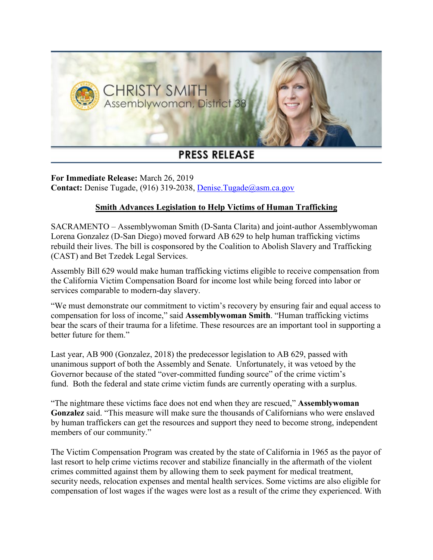

## **PRESS RELEASE**

**For Immediate Release:** March 26, 2019 **Contact:** Denise Tugade, (916) 319-2038, [Denise.Tugade@asm.ca.gov](mailto:Denise.Tugade@asm.ca.gov)

## **Smith Advances Legislation to Help Victims of Human Trafficking**

SACRAMENTO – Assemblywoman Smith (D-Santa Clarita) and joint-author Assemblywoman Lorena Gonzalez (D-San Diego) moved forward AB 629 to help human trafficking victims rebuild their lives. The bill is cosponsored by the Coalition to Abolish Slavery and Trafficking (CAST) and Bet Tzedek Legal Services.

Assembly Bill 629 would make human trafficking victims eligible to receive compensation from the California Victim Compensation Board for income lost while being forced into labor or services comparable to modern-day slavery.

"We must demonstrate our commitment to victim's recovery by ensuring fair and equal access to compensation for loss of income," said **Assemblywoman Smith**. "Human trafficking victims bear the scars of their trauma for a lifetime. These resources are an important tool in supporting a better future for them."

Last year, AB 900 (Gonzalez, 2018) the predecessor legislation to AB 629, passed with unanimous support of both the Assembly and Senate. Unfortunately, it was vetoed by the Governor because of the stated "over-committed funding source" of the crime victim's fund. Both the federal and state crime victim funds are currently operating with a surplus.

"The nightmare these victims face does not end when they are rescued," **Assemblywoman Gonzalez** said. "This measure will make sure the thousands of Californians who were enslaved by human traffickers can get the resources and support they need to become strong, independent members of our community."

The Victim Compensation Program was created by the state of California in 1965 as the payor of last resort to help crime victims recover and stabilize financially in the aftermath of the violent crimes committed against them by allowing them to seek payment for medical treatment, security needs, relocation expenses and mental health services. Some victims are also eligible for compensation of lost wages if the wages were lost as a result of the crime they experienced. With